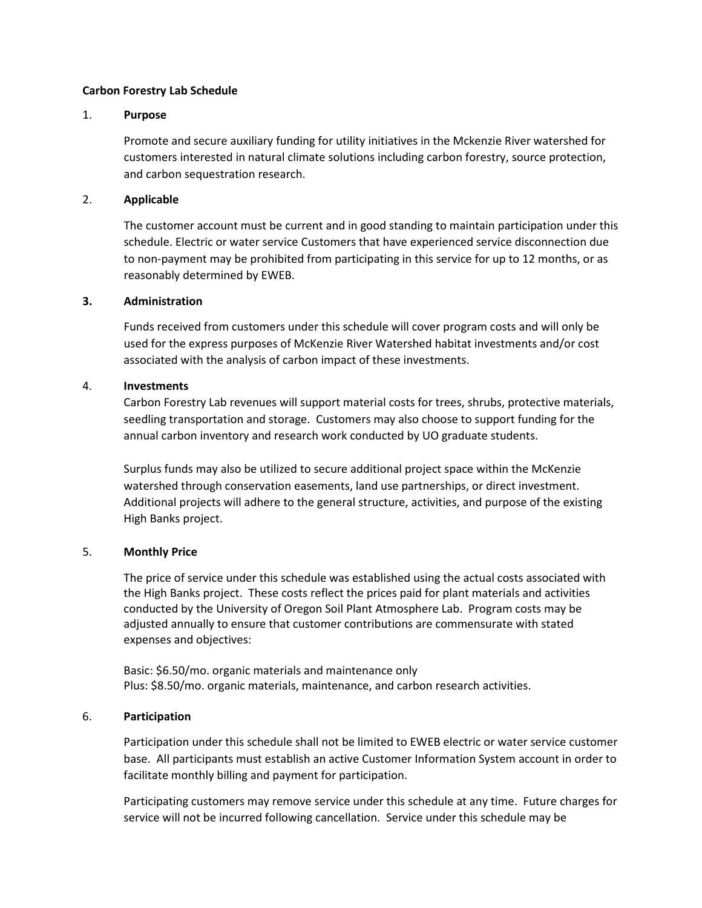#### **Carbon Forestry Lab Schedule**

#### 1. **Purpose**

Promote and secure auxiliary funding for utility initiatives in the Mckenzie River watershed for customers interested in natural climate solutions including carbon forestry, source protection, and carbon sequestration research.

### 2. **Applicable**

The customer account must be current and in good standing to maintain participation under this schedule. Electric or water service Customers that have experienced service disconnection due to non-payment may be prohibited from participating in this service for up to 12 months, or as reasonably determined by EWEB.

#### **3. Administration**

Funds received from customers under this schedule will cover program costs and will only be used for the express purposes of McKenzie River Watershed habitat investments and/or cost associated with the analysis of carbon impact of these investments.

## 4. **Investments**

Carbon Forestry Lab revenues will support material costs for trees, shrubs, protective materials, seedling transportation and storage. Customers may also choose to support funding for the annual carbon inventory and research work conducted by UO graduate students.

Surplus funds may also be utilized to secure additional project space within the McKenzie watershed through conservation easements, land use partnerships, or direct investment. Additional projects will adhere to the general structure, activities, and purpose of the existing High Banks project.

## 5. **Monthly Price**

The price of service under this schedule was established using the actual costs associated with the High Banks project. These costs reflect the prices paid for plant materials and activities conducted by the University of Oregon Soil Plant Atmosphere Lab. Program costs may be adjusted annually to ensure that customer contributions are commensurate with stated expenses and objectives:

Basic: \$6.50/mo. organic materials and maintenance only Plus: \$8.50/mo. organic materials, maintenance, and carbon research activities.

## 6. **Participation**

Participation under this schedule shall not be limited to EWEB electric or water service customer base. All participants must establish an active Customer Information System account in order to facilitate monthly billing and payment for participation.

Participating customers may remove service under this schedule at any time. Future charges for service will not be incurred following cancellation. Service under this schedule may be